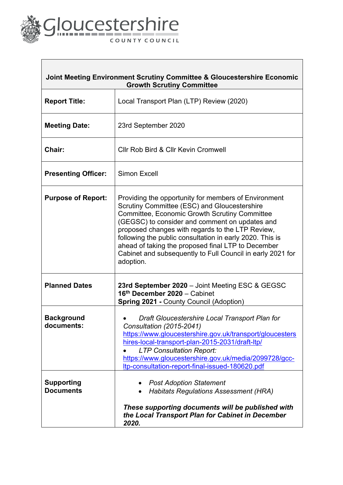

| Joint Meeting Environment Scrutiny Committee & Gloucestershire Economic<br><b>Growth Scrutiny Committee</b> |                                                                                                                                                                                                                                                                                                                                                                                                                                                          |  |  |
|-------------------------------------------------------------------------------------------------------------|----------------------------------------------------------------------------------------------------------------------------------------------------------------------------------------------------------------------------------------------------------------------------------------------------------------------------------------------------------------------------------------------------------------------------------------------------------|--|--|
| <b>Report Title:</b>                                                                                        | Local Transport Plan (LTP) Review (2020)                                                                                                                                                                                                                                                                                                                                                                                                                 |  |  |
| <b>Meeting Date:</b>                                                                                        | 23rd September 2020                                                                                                                                                                                                                                                                                                                                                                                                                                      |  |  |
| Chair:                                                                                                      | Cllr Rob Bird & Cllr Kevin Cromwell                                                                                                                                                                                                                                                                                                                                                                                                                      |  |  |
| <b>Presenting Officer:</b>                                                                                  | Simon Excell                                                                                                                                                                                                                                                                                                                                                                                                                                             |  |  |
| <b>Purpose of Report:</b>                                                                                   | Providing the opportunity for members of Environment<br>Scrutiny Committee (ESC) and Gloucestershire<br>Committee, Economic Growth Scrutiny Committee<br>(GEGSC) to consider and comment on updates and<br>proposed changes with regards to the LTP Review,<br>following the public consultation in early 2020. This is<br>ahead of taking the proposed final LTP to December<br>Cabinet and subsequently to Full Council in early 2021 for<br>adoption. |  |  |
| <b>Planned Dates</b>                                                                                        | 23rd September 2020 - Joint Meeting ESC & GEGSC<br>16th December 2020 - Cabinet<br><b>Spring 2021 - County Council (Adoption)</b>                                                                                                                                                                                                                                                                                                                        |  |  |
| <b>Background</b><br>documents:                                                                             | Draft Gloucestershire Local Transport Plan for<br>Consultation (2015-2041)<br>https://www.gloucestershire.gov.uk/transport/gloucesters<br>hires-local-transport-plan-2015-2031/draft-ltp/<br><b>LTP Consultation Report:</b><br>https://www.gloucestershire.gov.uk/media/2099728/gcc-<br>Itp-consultation-report-final-issued-180620.pdf                                                                                                                 |  |  |
| <b>Supporting</b><br><b>Documents</b>                                                                       | <b>Post Adoption Statement</b><br><b>Habitats Regulations Assessment (HRA)</b><br>These supporting documents will be published with<br>the Local Transport Plan for Cabinet in December<br>2020.                                                                                                                                                                                                                                                         |  |  |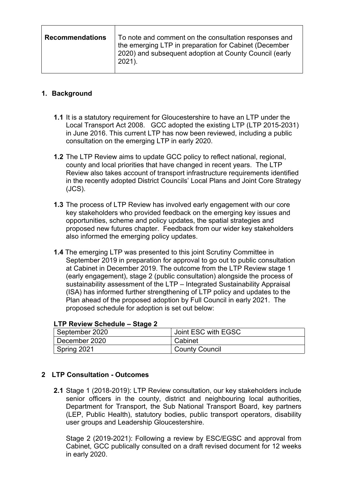| <b>Recommendations</b> | To note and comment on the consultation responses and<br>the emerging LTP in preparation for Cabinet (December<br>2020) and subsequent adoption at County Council (early<br>2021). |
|------------------------|------------------------------------------------------------------------------------------------------------------------------------------------------------------------------------|
|                        |                                                                                                                                                                                    |

## **1. Background**

- **1.1** It is a statutory requirement for Gloucestershire to have an LTP under the Local Transport Act 2008. GCC adopted the existing LTP (LTP 2015-2031) in June 2016. This current LTP has now been reviewed, including a public consultation on the emerging LTP in early 2020.
- **1.2** The LTP Review aims to update GCC policy to reflect national, regional, county and local priorities that have changed in recent years. The LTP Review also takes account of transport infrastructure requirements identified in the recently adopted District Councils' Local Plans and Joint Core Strategy (JCS).
- **1.3** The process of LTP Review has involved early engagement with our core key stakeholders who provided feedback on the emerging key issues and opportunities, scheme and policy updates, the spatial strategies and proposed new futures chapter. Feedback from our wider key stakeholders also informed the emerging policy updates.
- **1.4** The emerging LTP was presented to this joint Scrutiny Committee in September 2019 in preparation for approval to go out to public consultation at Cabinet in December 2019. The outcome from the LTP Review stage 1 (early engagement), stage 2 (public consultation) alongside the process of sustainability assessment of the LTP – Integrated Sustainability Appraisal (ISA) has informed further strengthening of LTP policy and updates to the Plan ahead of the proposed adoption by Full Council in early 2021. The proposed schedule for adoption is set out below:

| September 2020 | Joint ESC with EGSC   |
|----------------|-----------------------|
| December 2020  | Cabinet               |
| Spring 2021    | <b>County Council</b> |

#### **LTP Review Schedule – Stage 2**

#### **2 LTP Consultation - Outcomes**

**2.1** Stage 1 (2018-2019): LTP Review consultation, our key stakeholders include senior officers in the county, district and neighbouring local authorities, Department for Transport, the Sub National Transport Board, key partners (LEP, Public Health), statutory bodies, public transport operators, disability user groups and Leadership Gloucestershire.

Stage 2 (2019-2021): Following a review by ESC/EGSC and approval from Cabinet, GCC publically consulted on a draft revised document for 12 weeks in early 2020.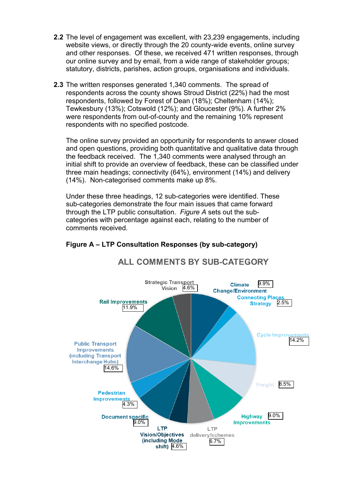- **2.2** The level of engagement was excellent, with 23,239 engagements, including website views, or directly through the 20 county-wide events, online survey and other responses. Of these, we received 471 written responses, through our online survey and by email, from a wide range of stakeholder groups; statutory, districts, parishes, action groups, organisations and individuals.
- **2.3** The written responses generated 1,340 comments. The spread of respondents across the county shows Stroud District (22%) had the most respondents, followed by Forest of Dean (18%); Cheltenham (14%); Tewkesbury (13%); Cotswold (12%); and Gloucester (9%). A further 2% were respondents from out-of-county and the remaining 10% represent respondents with no specified postcode.

The online survey provided an opportunity for respondents to answer closed and open questions, providing both quantitative and qualitative data through the feedback received. The 1,340 comments were analysed through an initial shift to provide an overview of feedback, these can be classified under three main headings; connectivity (64%), environment (14%) and delivery (14%). Non-categorised comments make up 8%.

Under these three headings, 12 sub-categories were identified. These sub-categories demonstrate the four main issues that came forward through the LTP public consultation. *Figure A* sets out the subcategories with percentage against each, relating to the number of comments received.



**ALL COMMENTS BY SUB-CATEGORY** 

# **Figure A – LTP Consultation Responses (by sub-category)**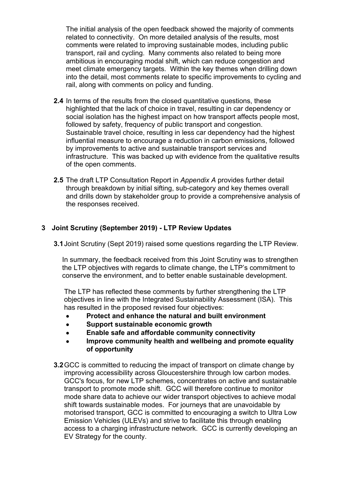The initial analysis of the open feedback showed the majority of comments related to connectivity. On more detailed analysis of the results, most comments were related to improving sustainable modes, including public transport, rail and cycling. Many comments also related to being more ambitious in encouraging modal shift, which can reduce congestion and meet climate emergency targets. Within the key themes when drilling down into the detail, most comments relate to specific improvements to cycling and rail, along with comments on policy and funding.

- **2.4** In terms of the results from the closed quantitative questions, these highlighted that the lack of choice in travel, resulting in car dependency or social isolation has the highest impact on how transport affects people most, followed by safety, frequency of public transport and congestion. Sustainable travel choice, resulting in less car dependency had the highest influential measure to encourage a reduction in carbon emissions, followed by improvements to active and sustainable transport services and infrastructure. This was backed up with evidence from the qualitative results of the open comments.
- **2.5** The draft LTP Consultation Report in *Appendix A* provides further detail through breakdown by initial sifting, sub-category and key themes overall and drills down by stakeholder group to provide a comprehensive analysis of the responses received.

### **3 Joint Scrutiny (September 2019) - LTP Review Updates**

**3.1**Joint Scrutiny (Sept 2019) raised some questions regarding the LTP Review.

In summary, the feedback received from this Joint Scrutiny was to strengthen the LTP objectives with regards to climate change, the LTP's commitment to conserve the environment, and to better enable sustainable development.

The LTP has reflected these comments by further strengthening the LTP objectives in line with the Integrated Sustainability Assessment (ISA). This has resulted in the proposed revised four objectives:

- **Protect and enhance the natural and built environment**
- **Support sustainable economic growth**
- **Enable safe and affordable community connectivity**
- **Improve community health and wellbeing and promote equality of opportunity**
- **3.2**GCC is committed to reducing the impact of transport on climate change by improving accessibility across Gloucestershire through low carbon modes. GCC's focus, for new LTP schemes, concentrates on active and sustainable transport to promote mode shift. GCC will therefore continue to monitor mode share data to achieve our wider transport objectives to achieve modal shift towards sustainable modes. For journeys that are unavoidable by motorised transport, GCC is committed to encouraging a switch to Ultra Low Emission Vehicles (ULEVs) and strive to facilitate this through enabling access to a charging infrastructure network. GCC is currently developing an EV Strategy for the county.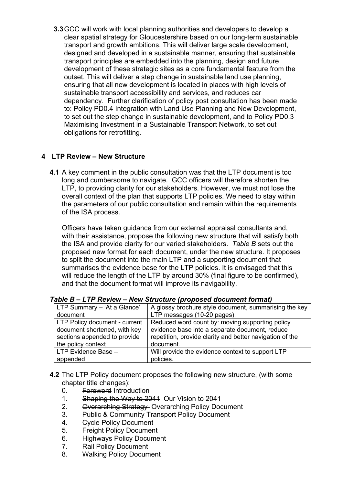**3.3**GCC will work with local planning authorities and developers to develop a clear spatial strategy for Gloucestershire based on our long-term sustainable transport and growth ambitions. This will deliver large scale development, designed and developed in a sustainable manner, ensuring that sustainable transport principles are embedded into the planning, design and future development of these strategic sites as a core fundamental feature from the outset. This will deliver a step change in sustainable land use planning, ensuring that all new development is located in places with high levels of sustainable transport accessibility and services, and reduces car dependency. Further clarification of policy post consultation has been made to: Policy PD0.4 Integration with Land Use Planning and New Development, to set out the step change in sustainable development, and to Policy PD0.3 Maximising Investment in a Sustainable Transport Network, to set out obligations for retrofitting.

# **4 LTP Review – New Structure**

**4.1** A key comment in the public consultation was that the LTP document is too long and cumbersome to navigate. GCC officers will therefore shorten the LTP, to providing clarity for our stakeholders. However, we must not lose the overall context of the plan that supports LTP policies. We need to stay within the parameters of our public consultation and remain within the requirements of the ISA process.

Officers have taken guidance from our external appraisal consultants and, with their assistance, propose the following new structure that will satisfy both the ISA and provide clarity for our varied stakeholders. *Table B* sets out the proposed new format for each document, under the new structure. It proposes to split the document into the main LTP and a supporting document that summarises the evidence base for the LTP policies. It is envisaged that this will reduce the length of the LTP by around 30% (final figure to be confirmed), and that the document format will improve its navigability.

| LTP Summary - 'At a Glance'   | A glossy brochure style document, summarising the key    |
|-------------------------------|----------------------------------------------------------|
| document                      | LTP messages (10-20 pages).                              |
| LTP Policy document - current | Reduced word count by: moving supporting policy          |
| document shortened, with key  | evidence base into a separate document, reduce           |
| sections appended to provide  | repetition, provide clarity and better navigation of the |
| the policy context            | document.                                                |
| LTP Evidence Base -           | Will provide the evidence context to support LTP         |
| appended                      | policies.                                                |

| Table B - LTP Review - New Structure (proposed document format) |  |  |
|-----------------------------------------------------------------|--|--|
|                                                                 |  |  |

- **4.2** The LTP Policy document proposes the following new structure, (with some chapter title changes):
	- 0. Foreword Introduction
	- 1. Shaping the Way to 2041 Our Vision to 2041
	- 2. Overarching Strategy Overarching Policy Document
	- 3. Public & Community Transport Policy Document
	- 4. Cycle Policy Document
	- 5. Freight Policy Document
	- 6. Highways Policy Document
	- 7. Rail Policy Document
	- 8. Walking Policy Document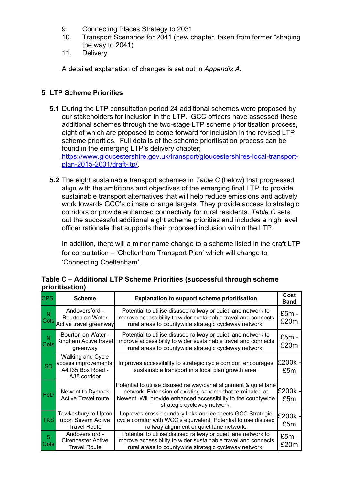- 9. Connecting Places Strategy to 2031
- 10. Transport Scenarios for 2041 (new chapter, taken from former "shaping the way to 2041)
- 11. Delivery

A detailed explanation of changes is set out in *Appendix A.*

# **5 LTP Scheme Priorities**

**5.1** During the LTP consultation period 24 additional schemes were proposed by our stakeholders for inclusion in the LTP. GCC officers have assessed these additional schemes through the two-stage LTP scheme prioritisation process, eight of which are proposed to come forward for inclusion in the revised LTP scheme priorities. Full details of the scheme prioritisation process can be found in the emerging LTP's delivery chapter;

[https://www.gloucestershire.gov.uk/transport/gloucestershires-local-transport](https://www.gloucestershire.gov.uk/transport/gloucestershires-local-transport-plan-2015-2031/draft-ltp/)[plan-2015-2031/draft-ltp/.](https://www.gloucestershire.gov.uk/transport/gloucestershires-local-transport-plan-2015-2031/draft-ltp/)

**5.2** The eight sustainable transport schemes in *Table C* (below) that progressed align with the ambitions and objectives of the emerging final LTP; to provide sustainable transport alternatives that will help reduce emissions and actively work towards GCC's climate change targets. They provide access to strategic corridors or provide enhanced connectivity for rural residents. *Table C* sets out the successful additional eight scheme priorities and includes a high level officer rationale that supports their proposed inclusion within the LTP.

In addition, there will a minor name change to a scheme listed in the draft LTP for consultation – 'Cheltenham Transport Plan' which will change to 'Connecting Cheltenham'.

|                 | Table C - Additional LTP Scheme Priorities (successful through scheme |  |
|-----------------|-----------------------------------------------------------------------|--|
| prioritisation) |                                                                       |  |
|                 |                                                                       |  |

| <b>CPS</b> | <b>Scheme</b>                                                                 | <b>Explanation to support scheme prioritisation</b>                                                                                                                                                                           | Cost<br>Band    |
|------------|-------------------------------------------------------------------------------|-------------------------------------------------------------------------------------------------------------------------------------------------------------------------------------------------------------------------------|-----------------|
| N<br>Cots  | Andoversford -<br>Bourton on Water<br>Active travel greenway                  | Potential to utilise disused railway or quiet lane network to<br>improve accessibility to wider sustainable travel and connects<br>rural areas to countywide strategic cycleway network.                                      | $£5m -$<br>£20m |
| N<br>Cots  | Bourton on Water -<br>Kingham Active travel<br>greenway                       | Potential to utilise disused railway or quiet lane network to<br>improve accessibility to wider sustainable travel and connects<br>rural areas to countywide strategic cycleway network.                                      | £5m -<br>£20m   |
| <b>SD</b>  | Walking and Cycle<br>access improvements,<br>A4135 Box Road -<br>A38 corridor | Improves accessibility to strategic cycle corridor, encourages<br>sustainable transport in a local plan growth area.                                                                                                          | £200k -<br>£5m  |
| FoD        | Newent to Dymock<br><b>Active Travel route</b>                                | Potential to utilise disused railway/canal alignment & quiet lane<br>network. Extension of existing scheme that terminated at<br>Newent. Will provide enhanced accessibility to the countywide<br>strategic cycleway network. | £200k -<br>£5m  |
| <b>TKS</b> | Tewkesbury to Upton<br>upon Severn Active<br><b>Travel Route</b>              | Improves cross boundary links and connects GCC Strategic<br>cycle corridor with WCC's equivalent. Potential to use disused<br>railway alignment or quiet lane network.                                                        | £200k -<br>£5m  |
| S<br>Cots  | Andoversford -<br><b>Cirencester Active</b><br><b>Travel Route</b>            | Potential to utilise disused railway or quiet lane network to<br>improve accessibility to wider sustainable travel and connects<br>rural areas to countywide strategic cycleway network.                                      | £5m -<br>£20m   |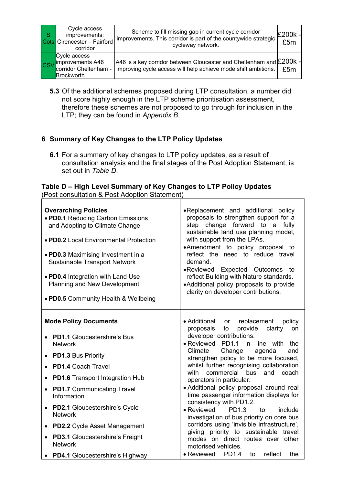| <b>S</b> | Cycle access<br>improvements:<br>Cots Cirencester - Fairford<br>corridor   | Scheme to fill missing gap in current cycle corridor<br>improvements. This corridor is part of the countywide strategic<br>cycleway network. | $E200k -$<br>£5m |
|----------|----------------------------------------------------------------------------|----------------------------------------------------------------------------------------------------------------------------------------------|------------------|
|          | Cycle access<br>CSV mprovements A46<br>corridor Cheltenham -<br>Brockworth | A46 is a key corridor between Gloucester and Cheltenham and £200k -<br>Improving cycle access will help achieve mode shift ambitions.        | £5m              |

**5.3** Of the additional schemes proposed during LTP consultation, a number did not score highly enough in the LTP scheme prioritisation assessment, therefore these schemes are not proposed to go through for inclusion in the LTP; they can be found in *Appendix B*.

# **6 Summary of Key Changes to the LTP Policy Updates**

**6.1** For a summary of key changes to LTP policy updates, as a result of consultation analysis and the final stages of the Post Adoption Statement, is set out in *Table D*.

#### **Table D – High Level Summary of Key Changes to LTP Policy Updates** (Post consultation & Post Adoption Statement)

| <b>Overarching Policies</b><br>. PD0.1 Reducing Carbon Emissions<br>and Adopting to Climate Change<br>• PD0.2 Local Environmental Protection<br>• PD0.3 Maximising Investment in a<br><b>Sustainable Transport Network</b><br>• PD0.4 Integration with Land Use<br>Planning and New Development<br>. PD0.5 Community Health & Wellbeing | •Replacement and additional policy<br>proposals to strengthen support for a<br>step change forward to a fully<br>sustainable land use planning model,<br>with support from the LPAs.<br>•Amendment to policy proposal to<br>reflect the need to reduce travel<br>demand.<br>•Reviewed Expected Outcomes<br>to<br>reflect Building with Nature standards.<br>• Additional policy proposals to provide<br>clarity on developer contributions. |  |
|-----------------------------------------------------------------------------------------------------------------------------------------------------------------------------------------------------------------------------------------------------------------------------------------------------------------------------------------|---------------------------------------------------------------------------------------------------------------------------------------------------------------------------------------------------------------------------------------------------------------------------------------------------------------------------------------------------------------------------------------------------------------------------------------------|--|
| <b>Mode Policy Documents</b>                                                                                                                                                                                                                                                                                                            | • Additional<br>or replacement<br>policy<br>provide<br>clarity<br>proposals<br>to<br>on                                                                                                                                                                                                                                                                                                                                                     |  |
| <b>PD1.1 Gloucestershire's Bus</b><br><b>Network</b>                                                                                                                                                                                                                                                                                    | developer contributions.<br>• Reviewed PD1.1 in<br>line with<br>the                                                                                                                                                                                                                                                                                                                                                                         |  |
| <b>PD1.3 Bus Priority</b>                                                                                                                                                                                                                                                                                                               | Climate<br>Change<br>agenda<br>and<br>strengthen policy to be more focused,                                                                                                                                                                                                                                                                                                                                                                 |  |
| PD1.4 Coach Travel                                                                                                                                                                                                                                                                                                                      | whilst further recognising collaboration<br>with<br>commercial bus<br>and<br>coach                                                                                                                                                                                                                                                                                                                                                          |  |
| <b>PD1.6</b> Transport Integration Hub<br>$\bullet$                                                                                                                                                                                                                                                                                     | operators in particular.                                                                                                                                                                                                                                                                                                                                                                                                                    |  |
| <b>PD1.7</b> Communicating Travel<br>$\bullet$<br>Information                                                                                                                                                                                                                                                                           | • Additional policy proposal around real<br>time passenger information displays for                                                                                                                                                                                                                                                                                                                                                         |  |
| <b>PD2.1 Gloucestershire's Cycle</b><br><b>Network</b>                                                                                                                                                                                                                                                                                  | consistency with PD1.2.<br>• Reviewed<br>PD1.3<br>to<br>include<br>investigation of bus priority on core bus                                                                                                                                                                                                                                                                                                                                |  |
| <b>PD2.2</b> Cycle Asset Management<br>$\bullet$                                                                                                                                                                                                                                                                                        | corridors using 'invisible infrastructure',                                                                                                                                                                                                                                                                                                                                                                                                 |  |
| <b>PD3.1 Gloucestershire's Freight</b><br>$\bullet$<br><b>Network</b>                                                                                                                                                                                                                                                                   | giving priority to sustainable travel<br>modes on direct routes over other<br>motorised vehicles.                                                                                                                                                                                                                                                                                                                                           |  |
| • PD4.1 Gloucestershire's Highway                                                                                                                                                                                                                                                                                                       | $\bullet$ Reviewed<br>reflect<br><b>PD1.4</b><br>to<br>the                                                                                                                                                                                                                                                                                                                                                                                  |  |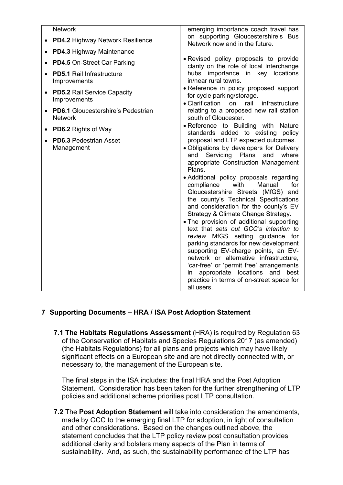| <b>Network</b>                                              | emerging importance coach travel has                                                                                                                                                                                                                                                                                                                                                                                                                                                                                                                                                                                                                                                                                                                                                                                                                 |  |
|-------------------------------------------------------------|------------------------------------------------------------------------------------------------------------------------------------------------------------------------------------------------------------------------------------------------------------------------------------------------------------------------------------------------------------------------------------------------------------------------------------------------------------------------------------------------------------------------------------------------------------------------------------------------------------------------------------------------------------------------------------------------------------------------------------------------------------------------------------------------------------------------------------------------------|--|
| <b>PD4.2 Highway Network Resilience</b>                     | on supporting Gloucestershire's Bus<br>Network now and in the future.                                                                                                                                                                                                                                                                                                                                                                                                                                                                                                                                                                                                                                                                                                                                                                                |  |
| <b>PD4.3 Highway Maintenance</b>                            |                                                                                                                                                                                                                                                                                                                                                                                                                                                                                                                                                                                                                                                                                                                                                                                                                                                      |  |
| PD4.5 On-Street Car Parking                                 | • Revised policy proposals to provide<br>clarity on the role of local Interchange                                                                                                                                                                                                                                                                                                                                                                                                                                                                                                                                                                                                                                                                                                                                                                    |  |
| <b>PD5.1 Rail Infrastructure</b><br>Improvements            | hubs importance in key locations<br>in/near rural towns.                                                                                                                                                                                                                                                                                                                                                                                                                                                                                                                                                                                                                                                                                                                                                                                             |  |
| <b>PD5.2 Rail Service Capacity</b><br>Improvements          | • Reference in policy proposed support<br>for cycle parking/storage.<br>• Clarification<br>on<br>rail<br>infrastructure                                                                                                                                                                                                                                                                                                                                                                                                                                                                                                                                                                                                                                                                                                                              |  |
| <b>PD6.1</b> Gloucestershire's Pedestrian<br><b>Network</b> | relating to a proposed new rail station<br>south of Gloucester.                                                                                                                                                                                                                                                                                                                                                                                                                                                                                                                                                                                                                                                                                                                                                                                      |  |
| <b>PD6.2 Rights of Way</b><br>$\bullet$                     | • Reference to Building with Nature                                                                                                                                                                                                                                                                                                                                                                                                                                                                                                                                                                                                                                                                                                                                                                                                                  |  |
| <b>PD6.3 Pedestrian Asset</b><br>Management                 | standards added to existing policy<br>proposal and LTP expected outcomes.<br>· Obligations by developers for Delivery<br>and Servicing Plans and<br>where<br>appropriate Construction Management<br>Plans.<br>• Additional policy proposals regarding<br>compliance<br>with<br>Manual<br>for<br>Gloucestershire Streets (MfGS) and<br>the county's Technical Specifications<br>and consideration for the county's EV<br>Strategy & Climate Change Strategy.<br>• The provision of additional supporting<br>text that sets out GCC's intention to<br>review MfGS setting guidance for<br>parking standards for new development<br>supporting EV-charge points, an EV-<br>network or alternative infrastructure,<br>'car-free' or 'permit free' arrangements<br>appropriate<br>locations and<br>in<br>best<br>practice in terms of on-street space for |  |

# **7 Supporting Documents – HRA / ISA Post Adoption Statement**

**7.1 The Habitats Regulations Assessment** (HRA) is required by Regulation 63 of the Conservation of Habitats and Species Regulations 2017 (as amended) (the Habitats Regulations) for all plans and projects which may have likely significant effects on a European site and are not directly connected with, or necessary to, the management of the European site.

The final steps in the ISA includes: the final HRA and the Post Adoption Statement. Consideration has been taken for the further strengthening of LTP policies and additional scheme priorities post LTP consultation.

**7.2** The **Post Adoption Statement** will take into consideration the amendments, made by GCC to the emerging final LTP for adoption, in light of consultation and other considerations. Based on the changes outlined above, the statement concludes that the LTP policy review post consultation provides additional clarity and bolsters many aspects of the Plan in terms of sustainability. And, as such, the sustainability performance of the LTP has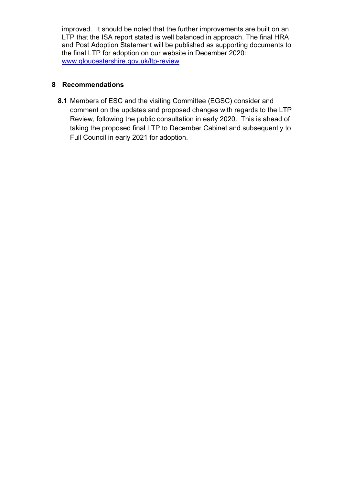improved. It should be noted that the further improvements are built on an LTP that the ISA report stated is well balanced in approach. The final HRA and Post Adoption Statement will be published as supporting documents to the final LTP for adoption on our website in December 2020: [www.gloucestershire.gov.uk/ltp-review](http://www.gloucestershire.gov.uk/ltp-review)

### **8 Recommendations**

**8.1** Members of ESC and the visiting Committee (EGSC) consider and comment on the updates and proposed changes with regards to the LTP Review, following the public consultation in early 2020. This is ahead of taking the proposed final LTP to December Cabinet and subsequently to Full Council in early 2021 for adoption.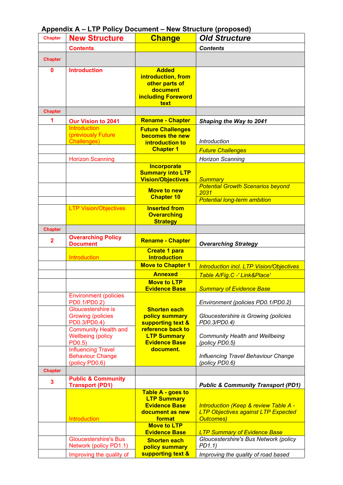| <b>Chapter</b> | <b>New Structure</b>                                                   | <b>Change</b>                                                                                  | <b>Old Structure</b>                                                                                               |
|----------------|------------------------------------------------------------------------|------------------------------------------------------------------------------------------------|--------------------------------------------------------------------------------------------------------------------|
|                | <b>Contents</b>                                                        |                                                                                                | <b>Contents</b>                                                                                                    |
| <b>Chapter</b> |                                                                        |                                                                                                |                                                                                                                    |
| 0              | <b>Introduction</b>                                                    | <b>Added</b><br>introduction, from<br>other parts of<br>document<br>including Foreword<br>text |                                                                                                                    |
| <b>Chapter</b> |                                                                        |                                                                                                |                                                                                                                    |
| 1              | <b>Our Vision to 2041</b>                                              | <b>Rename - Chapter</b>                                                                        | Shaping the Way to 2041                                                                                            |
|                | <b>Introduction</b><br>(previously Future<br>Challenges)               | <b>Future Challenges</b><br>becomes the new<br>introduction to<br><b>Chapter 1</b>             | <b>Introduction</b><br><b>Future Challenges</b>                                                                    |
|                | <b>Horizon Scanning</b>                                                |                                                                                                | <b>Horizon Scanning</b>                                                                                            |
|                |                                                                        | Incorporate<br><b>Summary into LTP</b><br><b>Vision/Objectives</b>                             | <b>Summary</b>                                                                                                     |
|                |                                                                        | <b>Move to new</b><br><b>Chapter 10</b>                                                        | <b>Potential Growth Scenarios beyond</b><br>2031<br><b>Potential long-term ambition</b>                            |
|                | <b>LTP Vision/Objectives</b>                                           | <b>Inserted from</b><br><b>Overarching</b><br><b>Strategy</b>                                  |                                                                                                                    |
| <b>Chapter</b> |                                                                        |                                                                                                |                                                                                                                    |
| $\mathbf{2}$   | <b>Overarching Policy</b><br><b>Document</b>                           | <b>Rename - Chapter</b>                                                                        | <b>Overarching Strategy</b>                                                                                        |
|                | <b>Introduction</b>                                                    | <b>Create 1 para</b><br><b>Introduction</b>                                                    |                                                                                                                    |
|                |                                                                        | <b>Move to Chapter 1</b>                                                                       | <b>Introduction incl. LTP Vision/Objectives</b>                                                                    |
|                |                                                                        | <b>Annexed</b>                                                                                 | Table A/Fig.C -' Link&Place'                                                                                       |
|                |                                                                        | <b>Move to LTP</b><br><b>Evidence Base</b>                                                     | <b>Summary of Evidence Base</b>                                                                                    |
|                | <b>Environment (policies</b><br>PD0.1/PD0.2)                           |                                                                                                | Environment (policies PD0.1/PD0.2)                                                                                 |
|                | Gloucestershire is<br><b>Growing (policies</b><br>PD0.3/PD0.4)         | <b>Shorten each</b><br>policy summary<br>supporting text &                                     | Gloucestershire is Growing (policies<br>PD0.3/PD0.4)                                                               |
|                | <b>Community Health and</b><br><b>Wellbeing (policy</b><br>PD0.5)      | reference back to<br><b>LTP Summary</b><br><b>Evidence Base</b>                                | <b>Community Health and Wellbeing</b><br>(policy PD0.5)                                                            |
|                | <b>Influencing Travel</b><br><b>Behaviour Change</b><br>(policy PD0.6) | document.                                                                                      | Influencing Travel Behaviour Change<br>(policy PD0.6)                                                              |
| <b>Chapter</b> |                                                                        |                                                                                                |                                                                                                                    |
| 3              | <b>Public &amp; Community</b><br><b>Transport (PD1)</b>                |                                                                                                | <b>Public &amp; Community Transport (PD1)</b>                                                                      |
|                | <b>Introduction</b>                                                    | Table A - goes to<br><b>LTP Summary</b><br><b>Evidence Base</b><br>document as new<br>format   | <b>Introduction (Keep &amp; review Table A -</b><br><b>LTP Objectives against LTP Expected</b><br><b>Outcomes)</b> |
|                |                                                                        | <b>Move to LTP</b><br><b>Evidence Base</b>                                                     | <b>LTP Summary of Evidence Base</b>                                                                                |
|                | <b>Gloucestershire's Bus</b><br><b>Network (policy PD1.1)</b>          | <b>Shorten each</b><br>policy summary                                                          | Gloucestershire's Bus Network (policy<br>PD1.1)                                                                    |
|                | Improving the quality of                                               | supporting text &                                                                              | Improving the quality of road based                                                                                |

# **Appendix A – LTP Policy Document – New Structure (proposed)**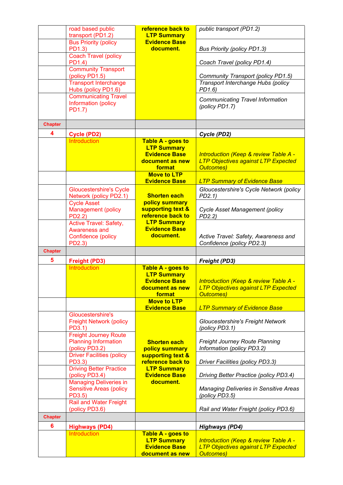|                | road based public                                           | reference back to                          | public transport (PD1.2)                                                                       |
|----------------|-------------------------------------------------------------|--------------------------------------------|------------------------------------------------------------------------------------------------|
|                | transport (PD1.2)<br><b>Bus Priority (policy</b>            | <b>LTP Summary</b><br><b>Evidence Base</b> |                                                                                                |
|                | PD1.3)                                                      | document.                                  | <b>Bus Priority (policy PD1.3)</b>                                                             |
|                | <b>Coach Travel (policy</b><br>PD1.4)                       |                                            | Coach Travel (policy PD1.4)                                                                    |
|                | <b>Community Transport</b><br>(policy PD1.5)                |                                            | Community Transport (policy PD1.5)                                                             |
|                | <b>Transport Interchange</b><br>Hubs (policy PD1.6)         |                                            | Transport Interchange Hubs (policy<br>PD1.6)                                                   |
|                | <b>Communicating Travel</b>                                 |                                            | Communicating Travel Information                                                               |
|                | Information (policy<br>PD1.7)                               |                                            | (policy PD1.7)                                                                                 |
| <b>Chapter</b> |                                                             |                                            |                                                                                                |
| 4              | <b>Cycle (PD2)</b>                                          |                                            | Cycle (PD2)                                                                                    |
|                | <b>Introduction</b>                                         | Table A - goes to                          |                                                                                                |
|                |                                                             | <b>LTP Summary</b><br><b>Evidence Base</b> | <b>Introduction (Keep &amp; review Table A -</b>                                               |
|                |                                                             | document as new                            | <b>LTP Objectives against LTP Expected</b>                                                     |
|                |                                                             | format<br><b>Move to LTP</b>               | <b>Outcomes</b> )                                                                              |
|                |                                                             | <b>Evidence Base</b>                       | <b>LTP Summary of Evidence Base</b>                                                            |
|                | <b>Gloucestershire's Cycle</b>                              |                                            | Gloucestershire's Cycle Network (policy                                                        |
|                | Network (policy PD2.1)<br><b>Cycle Asset</b>                | <b>Shorten each</b><br>policy summary      | $PD2.1$ )                                                                                      |
|                | Management (policy                                          | supporting text &                          | Cycle Asset Management (policy                                                                 |
|                | PD2.2)                                                      | reference back to                          | PD2.2                                                                                          |
|                | Active Travel: Safety,<br>Awareness and                     | <b>LTP Summary</b><br><b>Evidence Base</b> |                                                                                                |
|                | Confidence (policy                                          | document.                                  | Active Travel: Safety, Awareness and                                                           |
|                | PD2.3)                                                      |                                            | Confidence (policy PD2.3)                                                                      |
| <b>Chapter</b> |                                                             |                                            |                                                                                                |
| 5              | <b>Freight (PD3)</b><br><b>Introduction</b>                 |                                            | <b>Freight (PD3)</b>                                                                           |
|                |                                                             | Table A - goes to<br><b>LTP Summary</b>    |                                                                                                |
|                |                                                             | <b>Evidence Base</b>                       | <b>Introduction (Keep &amp; review Table A -</b>                                               |
|                |                                                             | document as new<br>format                  | <b>LTP Objectives against LTP Expected</b><br><b>Outcomes</b> )                                |
|                |                                                             | <b>Move to LTP</b>                         |                                                                                                |
|                | Gloucestershire's                                           | <b>Evidence Base</b>                       | <b>LTP Summary of Evidence Base</b>                                                            |
|                | <b>Freight Network (policy</b>                              |                                            | <b>Gloucestershire's Freight Network</b>                                                       |
|                | PD3.1)                                                      |                                            | (policy PD3.1)                                                                                 |
|                | <b>Freight Journey Route</b><br><b>Planning Information</b> | <b>Shorten each</b>                        | Freight Journey Route Planning                                                                 |
|                | (policy PD3.2)                                              | policy summary                             | Information (policy PD3.2)                                                                     |
|                | <b>Driver Facilities (policy</b>                            | supporting text &                          |                                                                                                |
|                | PD3.3)<br><b>Driving Better Practice</b>                    | reference back to<br><b>LTP Summary</b>    | Driver Facilities (policy PD3.3)                                                               |
|                | (policy PD3.4)                                              | <b>Evidence Base</b>                       | Driving Better Practice (policy PD3.4)                                                         |
|                | <b>Managing Deliveries in</b>                               | document.                                  |                                                                                                |
|                | <b>Sensitive Areas (policy</b><br>PD3.5)                    |                                            | <b>Managing Deliveries in Sensitive Areas</b><br>(policy PD3.5)                                |
|                | <b>Rail and Water Freight</b><br>(policy PD3.6)             |                                            | Rail and Water Freight (policy PD3.6)                                                          |
| <b>Chapter</b> |                                                             |                                            |                                                                                                |
| 6              | <b>Highways (PD4)</b>                                       |                                            | <b>Highways (PD4)</b>                                                                          |
|                | <b>Introduction</b>                                         | Table A - goes to                          |                                                                                                |
|                |                                                             | <b>LTP Summary</b><br><b>Evidence Base</b> | <b>Introduction (Keep &amp; review Table A -</b><br><b>LTP Objectives against LTP Expected</b> |
|                |                                                             | document as new                            | <b>Outcomes)</b>                                                                               |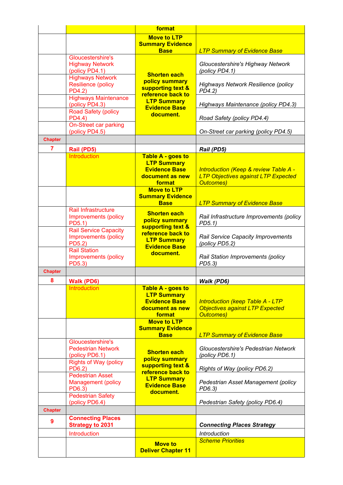|                |                                               | format                                                       |                                                                |
|----------------|-----------------------------------------------|--------------------------------------------------------------|----------------------------------------------------------------|
|                |                                               | <b>Move to LTP</b>                                           |                                                                |
|                |                                               | <b>Summary Evidence</b><br><b>Base</b>                       | <b>LTP Summary of Evidence Base</b>                            |
|                | Gloucestershire's                             |                                                              |                                                                |
|                | <b>Highway Network</b>                        |                                                              | Gloucestershire's Highway Network                              |
|                | (policy PD4.1)                                | <b>Shorten each</b>                                          | (policy PD4.1)                                                 |
|                | <b>Highways Network</b>                       | policy summary                                               |                                                                |
|                | <b>Resilience (policy</b><br>PD4.2)           | supporting text &                                            | Highways Network Resilience (policy<br>PD4.2)                  |
|                | <b>Highways Maintenance</b>                   | reference back to                                            |                                                                |
|                | (policy PD4.3)                                | <b>LTP Summary</b><br><b>Evidence Base</b>                   | Highways Maintenance (policy PD4.3)                            |
|                | Road Safety (policy                           | document.                                                    |                                                                |
|                | PD4.4)<br>On-Street car parking               |                                                              | Road Safety (policy PD4.4)                                     |
|                | (policy PD4.5)                                |                                                              | On-Street car parking (policy PD4.5)                           |
| <b>Chapter</b> |                                               |                                                              |                                                                |
| $\overline{7}$ | Rail (PD5)                                    |                                                              | Rail (PD5)                                                     |
|                | <b>Introduction</b>                           | Table A - goes to                                            |                                                                |
|                |                                               | <b>LTP Summary</b>                                           |                                                                |
|                |                                               | <b>Evidence Base</b>                                         | <b>Introduction (Keep &amp; review Table A -</b>               |
|                |                                               | document as new                                              | <b>LTP Objectives against LTP Expected</b><br><b>Outcomes)</b> |
|                |                                               | format<br><b>Move to LTP</b>                                 |                                                                |
|                |                                               | <b>Summary Evidence</b>                                      |                                                                |
|                |                                               | <b>Base</b>                                                  | <b>LTP Summary of Evidence Base</b>                            |
|                | Rail Infrastructure                           | <b>Shorten each</b>                                          |                                                                |
|                | Improvements (policy<br>PD5.1)                | policy summary                                               | Rail Infrastructure Improvements (policy<br>PD5.1              |
|                | <b>Rail Service Capacity</b>                  | supporting text &<br>reference back to<br><b>LTP Summary</b> |                                                                |
|                | Improvements (policy                          |                                                              | Rail Service Capacity Improvements                             |
|                | PD5.2)                                        | <b>Evidence Base</b>                                         | (policy PD5.2)                                                 |
|                | <b>Rail Station</b><br>Improvements (policy   | document.                                                    | Rail Station Improvements (policy                              |
|                | PD5.3)                                        |                                                              | PD5.3)                                                         |
| <b>Chapter</b> |                                               |                                                              |                                                                |
| 8              | Walk (PD6)                                    |                                                              | Walk (PD6)                                                     |
|                | Introduction                                  | Table A - goes to                                            |                                                                |
|                |                                               | <b>LTP Summary</b>                                           |                                                                |
|                |                                               | <b>Evidence Base</b>                                         | <b>Introduction (keep Table A - LTP</b>                        |
|                |                                               | document as new<br>format                                    | <b>Objectives against LTP Expected</b><br><b>Outcomes</b> )    |
|                |                                               | <b>Move to LTP</b>                                           |                                                                |
|                |                                               | <b>Summary Evidence</b>                                      |                                                                |
|                | Gloucestershire's                             | <b>Base</b>                                                  | <b>LTP Summary of Evidence Base</b>                            |
|                | <b>Pedestrian Network</b>                     |                                                              | Gloucestershire's Pedestrian Network                           |
|                | (policy PD6.1)                                | <b>Shorten each</b>                                          | (policy PD6.1)                                                 |
|                | <b>Rights of Way (policy</b>                  | policy summary<br>supporting text &                          |                                                                |
|                | PD6.2)                                        | reference back to                                            | Rights of Way (policy PD6.2)                                   |
|                | <b>Pedestrian Asset</b><br>Management (policy | <b>LTP Summary</b>                                           | Pedestrian Asset Management (policy                            |
|                | PD6.3)                                        | <b>Evidence Base</b>                                         | PD6.3)                                                         |
|                | <b>Pedestrian Safety</b>                      | document.                                                    |                                                                |
|                | (policy PD6.4)                                |                                                              | Pedestrian Safety (policy PD6.4)                               |
| <b>Chapter</b> |                                               |                                                              |                                                                |
| 9              | <b>Connecting Places</b>                      |                                                              |                                                                |
|                | <b>Strategy to 2031</b>                       |                                                              | <b>Connecting Places Strategy</b>                              |
|                | Introduction                                  |                                                              | <b>Introduction</b><br><b>Scheme Priorities</b>                |
|                |                                               | <b>Move to</b>                                               |                                                                |
|                |                                               | <b>Deliver Chapter 11</b>                                    |                                                                |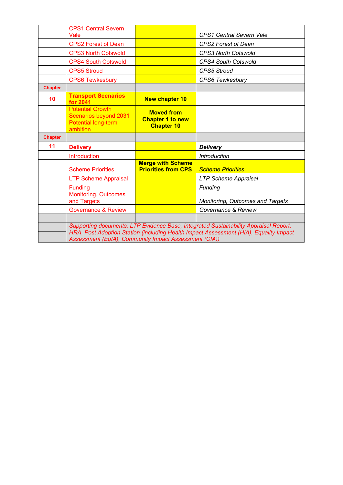|                | <b>CPS1 Central Severn</b>                       |                                                        |                                         |
|----------------|--------------------------------------------------|--------------------------------------------------------|-----------------------------------------|
|                | Vale                                             |                                                        | <b>CPS1 Central Severn Vale</b>         |
|                | <b>CPS2 Forest of Dean</b>                       |                                                        | <b>CPS2 Forest of Dean</b>              |
|                | <b>CPS3 North Cotswold</b>                       |                                                        | <b>CPS3 North Cotswold</b>              |
|                | <b>CPS4 South Cotswold</b>                       |                                                        | <b>CPS4 South Cotswold</b>              |
|                | <b>CPS5 Stroud</b>                               |                                                        | <b>CPS5 Stroud</b>                      |
|                | <b>CPS6 Tewkesbury</b>                           |                                                        | <b>CPS6 Tewkesbury</b>                  |
| <b>Chapter</b> |                                                  |                                                        |                                         |
| 10             | <b>Transport Scenarios</b><br>for 2041           | <b>New chapter 10</b>                                  |                                         |
|                | <b>Potential Growth</b><br>Scenarios beyond 2031 | <b>Moved from</b><br><b>Chapter 1 to new</b>           |                                         |
|                | <b>Potential long-term</b><br>ambition           | <b>Chapter 10</b>                                      |                                         |
|                |                                                  |                                                        |                                         |
| <b>Chapter</b> |                                                  |                                                        |                                         |
| 11             | <b>Delivery</b>                                  |                                                        | <b>Delivery</b>                         |
|                | Introduction                                     |                                                        | <i><b>Introduction</b></i>              |
|                | <b>Scheme Priorities</b>                         | <b>Merge with Scheme</b><br><b>Priorities from CPS</b> | <b>Scheme Priorities</b>                |
|                | <b>LTP Scheme Appraisal</b>                      |                                                        | <b>LTP Scheme Appraisal</b>             |
|                | <b>Funding</b>                                   |                                                        | Funding                                 |
|                | <b>Monitoring, Outcomes</b><br>and Targets       |                                                        | <b>Monitoring, Outcomes and Targets</b> |
|                | <b>Governance &amp; Review</b>                   |                                                        | Governance & Review                     |
|                |                                                  |                                                        |                                         |